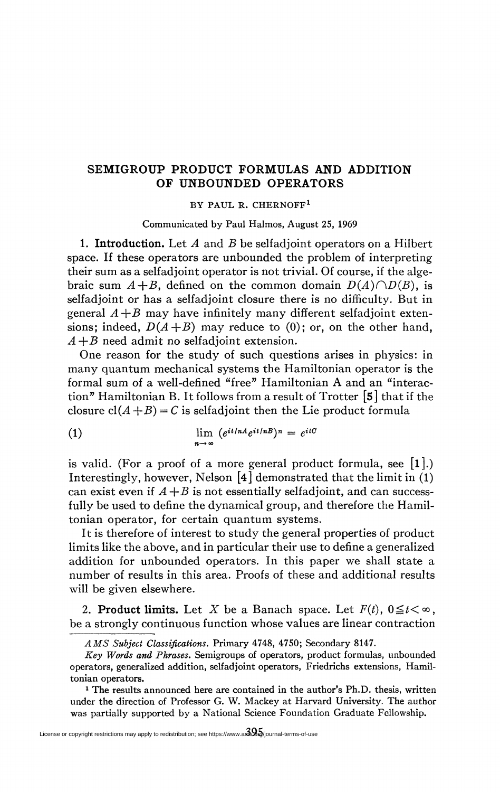## **SEMIGROUP PRODUCT FORMULAS AND ADDITION OF UNBOUNDED OPERATORS**

BY PAUL R. CHERNOFF<sup>1</sup>

Communicated by Paul Halmos, August 25, 1969

**1. Introduction.** Let *A* and *B* be selfadjoint operators on a Hubert space. If these operators are unbounded the problem of interpreting their sum as a selfadjoint operator is not trivial. Of course, if the algebraic sum  $A+B$ , defined on the common domain  $D(A)\cap D(B)$ , is selfadjoint or has a selfadjoint closure there is no difficulty. But in general  $A + B$  may have infinitely many different selfadjoint extensions; indeed,  $D(A+B)$  may reduce to (0); or, on the other hand, *A +B* need admit no selfadjoint extension.

One reason for the study of such questions arises in physics: in many quantum mechanical systems the Hamiltonian operator is the formal sum of a well-defined "free" Hamiltonian A and an "interaction" Hamiltonian B. It follows from a result of Trotter [5] that if the closure  $cl(A + B) = C$  is selfadjoint then the Lie product formula

(1) 
$$
\lim_{n \to \infty} (e^{it/nA}e^{it/nB})^n = e^{itC}
$$

is valid. (For a proof of a more general product formula, see  $[1]$ .) Interestingly, however, Nelson [4] demonstrated that the limit in (1) can exist even if  $A + B$  is not essentially selfadjoint, and can successfully be used to define the dynamical group, and therefore the Hamiltonian operator, for certain quantum systems.

It is therefore of interest to study the general properties of product limits like the above, and in particular their use to define a generalized addition for unbounded operators. In this paper we shall state a number of results in this area. Proofs of these and additional results will be given elsewhere.

2. Product limits. Let X be a Banach space. Let  $F(t)$ ,  $0 \le t < \infty$ , be a strongly continuous function whose values are linear contraction

*A MS Subject Classifications.* Primary 4748, 4750; Secondary 8147.

*Key Words and Phrases,* Semigroups of operators, product formulas, unbounded operators, generalized addition, selfadjoint operators, Friedrichs extensions, Hamiltonian operators.

<sup>&</sup>lt;sup>1</sup> The results announced here are contained in the author's Ph.D. thesis, written under the direction of Professor G. W, Mackey at Harvard University. The author was partially supported by a National Science Foundation Graduate Fellowship.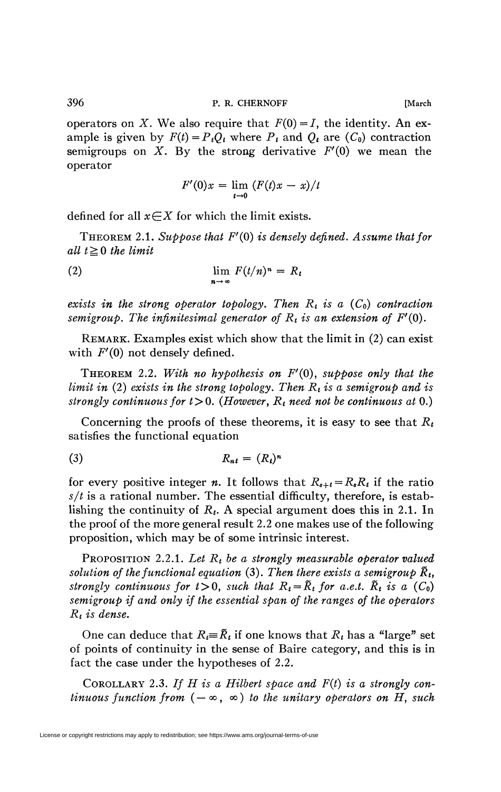operators on *X*. We also require that  $F(0) = I$ , the identity. An example is given by  $F(t) = P_tQ_t$  where  $P_t$  and  $Q_t$  are  $(C_0)$  contraction semigroups on *X.* By the strong derivative *F'(0)* we mean the operator

$$
F'(0)x = \lim_{t \to 0} (F(t)x - x)/t
$$

defined for all  $x \in X$  for which the limit exists.

THEOREM 2.1. *Suppose that F'(0) is densely defined. Assume that for all*  $t \geq 0$  *the limit* 

(2) 
$$
\lim_{n \to \infty} F(t/n)^n = R_t
$$

 $exists$  in the strong operator topology. Then  $R_t$  is a  $(C_0)$  contraction *semigroup. The infinitesimal generator of R<sup>t</sup> is an extension of F'(Q).* 

REMARK. Examples exist which show that the limit in (2) can exist with  $F'(0)$  not densely defined.

THEOREM 2.2. *With no hypothesis on F'(0), suppose only that the limit in* (2) *exists in the strong topology. Then R<sup>t</sup> is a semigroup and is*  strongly continuous for  $t > 0$ . (However,  $R_t$  need not be continuous at 0.)

Concerning the proofs of these theorems, it is easy to see that *Rt*  satisfies the functional equation

$$
R_{nt} = (R_t)^n
$$

for every positive integer *n*. It follows that  $R_{s+t} = R_s R_t$  if the ratio  $s/t$  is a rational number. The essential difficulty, therefore, is establishing the continuity of *R<sup>t</sup> .* A special argument does this in 2.1. In the proof of the more general result 2.2 one makes use of the following proposition, which may be of some intrinsic interest.

PROPOSITION 2.2.1. *Let R<sup>t</sup> be a strongly measurable operator valued solution of the functional equation* (3). Then there exists a semigroup  $\tilde{R}_t$ , *strongly continuous for*  $t > 0$ , *such that*  $R_t = \tilde{R}_t$  *for a.e.t.*  $\tilde{R}_t$  *is a*  $(C_0)$ *semigroup if and only if the essential span of the ranges of the operators Rt is dense.* 

One can deduce that  $R_t = R_t$  if one knows that  $R_t$  has a "large" set of points of continuity in the sense of Baire category, and this is in fact the case under the hypotheses of 2.2.

COROLLARY 2.3. *If H is a Hilbert space and F(t) is a strongly continuous function from*  $(-\infty, \infty)$  *to the unitary operators on H, such*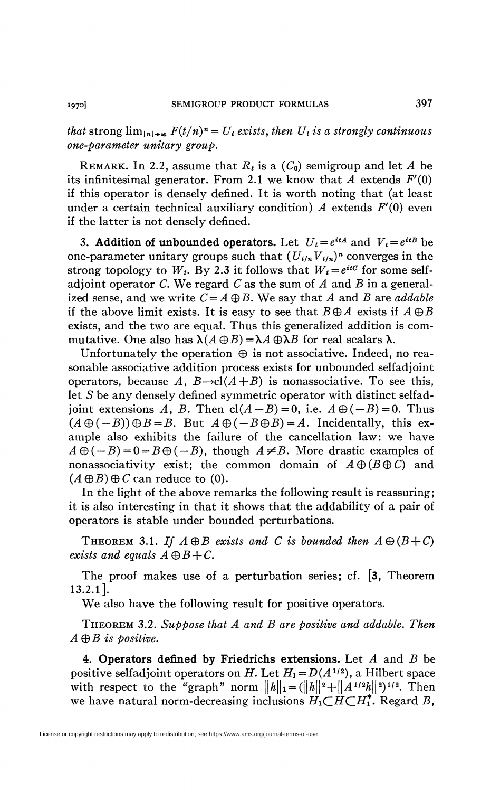*that* strong  $\lim_{|n|\to\infty} F(t/n)^n = U_t$  exists, then  $U_t$  is a strongly continuous *one-parameter unitary group.* 

REMARK. In 2.2, assume that  $R_t$  is a  $(C_0)$  semigroup and let  $A$  be its infinitesimal generator. From 2.1 we know that A extends  $F'(0)$ if this operator is densely defined. It is worth noting that (at least under a certain technical auxiliary condition) *A* extends *F'(Q)* even if the latter is not densely defined.

3. Addition of unbounded operators. Let  $U_t = e^{itA}$  and  $V_t = e^{itB}$  be one-parameter unitary groups such that  $(U_{t/n}V_{t/n})^n$  converges in the strong topology to  $W_t$ . By 2.3 it follows that  $W_t = e^{itC}$  for some selfadjoint operator *C.* We regard *C* as the sum of *A* and *B* in a generalized sense, and we write  $C = A \oplus B$ . We say that A and B are *addable* if the above limit exists. It is easy to see that  $B \oplus A$  exists if  $A \oplus B$ exists, and the two are equal. Thus this generalized addition is commutative. One also has  $\lambda(A \oplus B) = \lambda A \oplus \lambda B$  for real scalars  $\lambda$ .

Unfortunately the operation  $\oplus$  is not associative. Indeed, no reasonable associative addition process exists for unbounded selfadjoint operators, because A,  $B\rightarrow cl(A+B)$  is nonassociative. To see this, let S be any densely defined symmetric operator with distinct selfadjoint extensions A, B. Then  $cl(A-B)=0$ , i.e.  $A\oplus(-B)=0$ . Thus  $(A \oplus (-B)) \oplus B = B$ . But  $A \oplus (-B \oplus B) = A$ . Incidentally, this example also exhibits the failure of the cancellation law: we have  $A \oplus (-B) = 0 = B \oplus (-B)$ , though  $A \neq B$ . More drastic examples of nonassociativity exist; the common domain of  $A \oplus (B \oplus C)$  and  $(A \oplus B) \oplus C$  can reduce to (0).

In the light of the above remarks the following result is reassuring; it is also interesting in that it shows that the addability of a pair of operators is stable under bounded perturbations.

THEOREM 3.1. If  $A \oplus B$  exists and C is bounded then  $A \oplus (B+C)$ *exists and equals*  $A \oplus B + C$ *.* 

The proof makes use of a perturbation series; cf. [3, Theorem 13.2.1].

We also have the following result for positive operators.

THEOREM 3.2. *Suppose that A and B are positive and addable. Then A®B is positive.* 

4. **Operators defined by Friedrichs extensions.** Let *A* and *B* be positive selfadjoint operators on *H*. Let  $H_1 = D(A^{1/2})$ , a Hilbert space with respect to the "graph" norm  $||h||_1 = (||h||^2 + ||A^{1/2}h||^2)^{1/2}$ . Then we have natural norm-decreasing inclusions  $H_1 \subset H \subset H_1^*$ . Regard *B*,